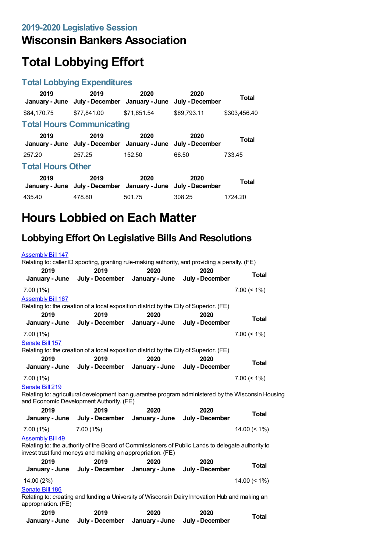## **Wisconsin Bankers Association**

# **Total Lobbying Effort**

#### **Total Lobbying Expenditures**

| 2019                     | 2019<br>January - June July - December January - June                 | 2020        | 2020<br>July - December | <b>Total</b> |
|--------------------------|-----------------------------------------------------------------------|-------------|-------------------------|--------------|
| \$84,170.75              | \$77.841.00                                                           | \$71.651.54 | \$69.793.11             | \$303,456.40 |
|                          | <b>Total Hours Communicating</b>                                      |             |                         |              |
| 2019                     | 2019<br>January - June July - December January - June July - December | 2020        | 2020                    | <b>Total</b> |
| 257.20                   | 257.25                                                                | 152.50      | 66.50                   | 733.45       |
| <b>Total Hours Other</b> |                                                                       |             |                         |              |
| 2019                     | 2019<br>January - June July - December January - June July - December | 2020        | 2020                    | Total        |
| 435.40                   | 478.80                                                                | 501.75      | 308.25                  | 1724.20      |

# **Hours Lobbied on Each Matter**

### **Lobbying Effort On Legislative Bills And Resolutions**

|                             | Relating to: caller ID spoofing, granting rule-making authority, and providing a penalty. (FE)                                                                  |                        |                         |                 |
|-----------------------------|-----------------------------------------------------------------------------------------------------------------------------------------------------------------|------------------------|-------------------------|-----------------|
| 2019                        | 2019                                                                                                                                                            | 2020                   | 2020                    |                 |
| January - June              | July - December                                                                                                                                                 | January - June         | July - December         | <b>Total</b>    |
| $7.00(1\%)$                 |                                                                                                                                                                 |                        |                         | $7.00 \le 1\%$  |
| <b>Assembly Bill 167</b>    |                                                                                                                                                                 |                        |                         |                 |
|                             | Relating to: the creation of a local exposition district by the City of Superior. (FE)                                                                          |                        |                         |                 |
| 2019<br>January - June      | 2019<br>July - December                                                                                                                                         | 2020<br>January - June | 2020<br>July - December | <b>Total</b>    |
|                             |                                                                                                                                                                 |                        |                         |                 |
| $7.00(1\%)$                 |                                                                                                                                                                 |                        |                         | $7.00 \le 1\%$  |
| Senate Bill 157             | Relating to: the creation of a local exposition district by the City of Superior. (FE)                                                                          |                        |                         |                 |
| 2019                        | 2019                                                                                                                                                            | 2020                   | 2020                    |                 |
| January - June              | July - December                                                                                                                                                 | January - June         | July - December         | <b>Total</b>    |
| $7.00(1\%)$                 |                                                                                                                                                                 |                        |                         | $7.00 \le 1\%$  |
| Senate Bill 219             |                                                                                                                                                                 |                        |                         |                 |
|                             |                                                                                                                                                                 |                        |                         |                 |
|                             | Relating to: agricultural development loan guarantee program administered by the Wisconsin Housing                                                              |                        |                         |                 |
| 2019                        | and Economic Development Authority. (FE)                                                                                                                        |                        |                         |                 |
| January - June              | 2019<br>July - December                                                                                                                                         | 2020<br>January - June | 2020<br>July - December | <b>Total</b>    |
| $7.00(1\%)$                 | $7.00(1\%)$                                                                                                                                                     |                        |                         | $14.00 (= 1\%)$ |
| <b>Assembly Bill 49</b>     |                                                                                                                                                                 |                        |                         |                 |
|                             | Relating to: the authority of the Board of Commissioners of Public Lands to delegate authority to<br>invest trust fund moneys and making an appropriation. (FE) |                        |                         |                 |
| 2019                        | 2019                                                                                                                                                            | 2020                   | 2020                    |                 |
| January - June              | July - December                                                                                                                                                 | January - June         | July - December         | <b>Total</b>    |
| 14.00 (2%)                  |                                                                                                                                                                 |                        |                         | $14.00 (= 1\%)$ |
| Senate Bill 186             |                                                                                                                                                                 |                        |                         |                 |
|                             | Relating to: creating and funding a University of Wisconsin Dairy Innovation Hub and making an                                                                  |                        |                         |                 |
| appropriation. (FE)<br>2019 | 2019                                                                                                                                                            | 2020                   | 2020                    | <b>Total</b>    |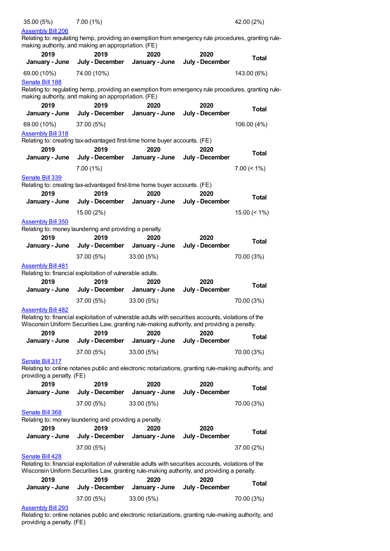| 35.00 (5%)                                | 7.00(1%)                                                                                             |                        |                                                                                                                                                                                                    | 42.00 (2%)      |
|-------------------------------------------|------------------------------------------------------------------------------------------------------|------------------------|----------------------------------------------------------------------------------------------------------------------------------------------------------------------------------------------------|-----------------|
| <b>Assembly Bill 206</b>                  | making authority, and making an appropriation. (FE)                                                  |                        | Relating to: regulating hemp, providing an exemption from emergency rule procedures, granting rule-                                                                                                |                 |
| 2019                                      | 2019                                                                                                 | 2020                   | 2020                                                                                                                                                                                               | <b>Total</b>    |
| January - June                            | July - December                                                                                      | January - June         | July - December                                                                                                                                                                                    |                 |
| 69.00 (10%)                               | 74.00 (10%)                                                                                          |                        |                                                                                                                                                                                                    | 143.00 (6%)     |
| Senate Bill 188                           | making authority, and making an appropriation. (FE)                                                  |                        | Relating to: regulating hemp, providing an exemption from emergency rule procedures, granting rule-                                                                                                |                 |
| 2019                                      | 2019                                                                                                 | 2020                   | 2020                                                                                                                                                                                               |                 |
| January - June                            | July - December                                                                                      | January - June         | July - December                                                                                                                                                                                    | <b>Total</b>    |
| 69.00 (10%)                               | 37.00 (5%)                                                                                           |                        |                                                                                                                                                                                                    | 106.00 (4%)     |
| <b>Assembly Bill 318</b><br>2019          | Relating to: creating tax-advantaged first-time home buyer accounts. (FE)<br>2019                    | 2020                   | 2020                                                                                                                                                                                               |                 |
| January - June                            | July - December                                                                                      | January - June         | July - December                                                                                                                                                                                    | Total           |
|                                           | 7.00(1%)                                                                                             |                        |                                                                                                                                                                                                    | $7.00 \le 1\%$  |
| Senate Bill 339<br>2019<br>January - June | Relating to: creating tax-advantaged first-time home buyer accounts. (FE)<br>2019<br>July - December | 2020<br>January - June | 2020<br>July - December                                                                                                                                                                            | <b>Total</b>    |
|                                           | 15.00 (2%)                                                                                           |                        |                                                                                                                                                                                                    | $15.00 \le 1\%$ |
| <b>Assembly Bill 350</b>                  |                                                                                                      |                        |                                                                                                                                                                                                    |                 |
|                                           | Relating to: money laundering and providing a penalty.                                               |                        |                                                                                                                                                                                                    |                 |
| 2019                                      | 2019                                                                                                 | 2020                   | 2020                                                                                                                                                                                               | <b>Total</b>    |
| January - June                            | July - December                                                                                      | January - June         | July - December                                                                                                                                                                                    |                 |
|                                           | 37.00 (5%)                                                                                           | 33.00 (5%)             |                                                                                                                                                                                                    | 70.00 (3%)      |
| <b>Assembly Bill 481</b>                  |                                                                                                      |                        |                                                                                                                                                                                                    |                 |
|                                           | Relating to: financial exploitation of vulnerable adults.                                            |                        |                                                                                                                                                                                                    |                 |
| 2019<br>January - June                    | 2019<br>July - December                                                                              | 2020<br>January - June | 2020<br>July - December                                                                                                                                                                            | <b>Total</b>    |
|                                           | 37.00 (5%)                                                                                           |                        |                                                                                                                                                                                                    | 70.00 (3%)      |
| <b>Assembly Bill 482</b>                  |                                                                                                      | 33.00(5%)              |                                                                                                                                                                                                    |                 |
|                                           |                                                                                                      |                        | Relating to: financial exploitation of vulnerable adults with securities accounts, violations of the<br>Wisconsin Uniform Securities Law, granting rule-making authority, and providing a penalty. |                 |
| 2019<br>January - June                    | 2019<br>July - December                                                                              | 2020<br>January - June | 2020<br>July - December                                                                                                                                                                            | <b>Total</b>    |
|                                           |                                                                                                      |                        |                                                                                                                                                                                                    |                 |
| Senate Bill 317                           | 37.00 (5%)                                                                                           | 33.00 (5%)             |                                                                                                                                                                                                    | 70.00 (3%)      |
| providing a penalty. (FE)                 |                                                                                                      |                        | Relating to: online notaries public and electronic notarizations, granting rule-making authority, and                                                                                              |                 |
| 2019                                      | 2019                                                                                                 | 2020                   | 2020                                                                                                                                                                                               | <b>Total</b>    |
| January - June                            | July - December                                                                                      | January - June         | July - December                                                                                                                                                                                    |                 |
|                                           | 37.00 (5%)                                                                                           | 33.00 (5%)             |                                                                                                                                                                                                    | 70.00 (3%)      |
| <b>Senate Bill 368</b>                    |                                                                                                      |                        |                                                                                                                                                                                                    |                 |
| 2019                                      | Relating to: money laundering and providing a penalty.<br>2019                                       | 2020                   | 2020                                                                                                                                                                                               |                 |
| January - June                            | July - December                                                                                      | January - June         | July - December                                                                                                                                                                                    | <b>Total</b>    |
|                                           | 37.00 (5%)                                                                                           |                        |                                                                                                                                                                                                    | 37.00 (2%)      |
| Senate Bill 428                           |                                                                                                      |                        | Relating to: financial exploitation of vulnerable adults with securities accounts, violations of the<br>Wisconsin Uniform Securities Law, granting rule-making authority, and providing a penalty. |                 |
| 2019                                      | 2019                                                                                                 | 2020                   | 2020                                                                                                                                                                                               |                 |
| January - June                            | July - December                                                                                      | January - June         | July - December                                                                                                                                                                                    | Total           |
|                                           | 37.00 (5%)                                                                                           | 33.00 (5%)             |                                                                                                                                                                                                    | 70.00 (3%)      |
| <b>Assembly Bill 293</b>                  |                                                                                                      |                        |                                                                                                                                                                                                    |                 |

Relating to: online notaries public and electronic notarizations, granting rule-making authority, and providing a penalty. (FE)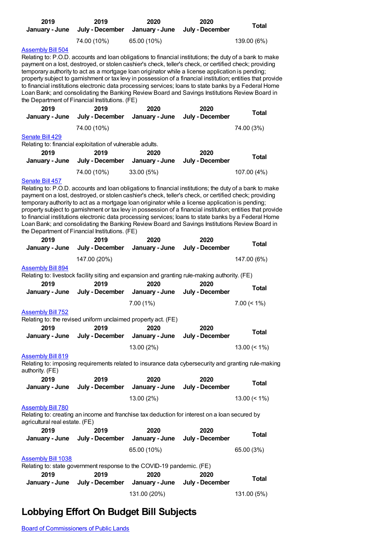| 2019<br>January - June                                     | 2019<br>July - December                                                                                                                                                                                                                                                                                                                                                                                                                                                                                                                                                                                                                                                                                   | 2020<br>January - June | 2020<br>July - December | <b>Total</b>       |
|------------------------------------------------------------|-----------------------------------------------------------------------------------------------------------------------------------------------------------------------------------------------------------------------------------------------------------------------------------------------------------------------------------------------------------------------------------------------------------------------------------------------------------------------------------------------------------------------------------------------------------------------------------------------------------------------------------------------------------------------------------------------------------|------------------------|-------------------------|--------------------|
|                                                            | 74.00 (10%)                                                                                                                                                                                                                                                                                                                                                                                                                                                                                                                                                                                                                                                                                               | 65.00 (10%)            |                         | 139.00 (6%)        |
| <b>Assembly Bill 504</b>                                   | Relating to: P.O.D. accounts and loan obligations to financial institutions; the duty of a bank to make<br>payment on a lost, destroyed, or stolen cashier's check, teller's check, or certified check; providing<br>temporary authority to act as a mortgage loan originator while a license application is pending;<br>property subject to garnishment or tax levy in possession of a financial institution; entities that provide<br>to financial institutions electronic data processing services; loans to state banks by a Federal Home<br>Loan Bank; and consolidating the Banking Review Board and Savings Institutions Review Board in<br>the Department of Financial Institutions. (FE)         |                        |                         |                    |
| 2019<br>January - June                                     | 2019<br>July - December                                                                                                                                                                                                                                                                                                                                                                                                                                                                                                                                                                                                                                                                                   | 2020<br>January - June | 2020<br>July - December | <b>Total</b>       |
|                                                            | 74.00 (10%)                                                                                                                                                                                                                                                                                                                                                                                                                                                                                                                                                                                                                                                                                               |                        |                         | 74.00 (3%)         |
| Senate Bill 429                                            |                                                                                                                                                                                                                                                                                                                                                                                                                                                                                                                                                                                                                                                                                                           |                        |                         |                    |
| 2019                                                       | Relating to: financial exploitation of vulnerable adults.<br>2019                                                                                                                                                                                                                                                                                                                                                                                                                                                                                                                                                                                                                                         | 2020                   | 2020                    |                    |
| January - June                                             | July - December                                                                                                                                                                                                                                                                                                                                                                                                                                                                                                                                                                                                                                                                                           | January - June         | July - December         | <b>Total</b>       |
|                                                            | 74.00 (10%)                                                                                                                                                                                                                                                                                                                                                                                                                                                                                                                                                                                                                                                                                               | 33.00 (5%)             |                         | 107.00 (4%)        |
| 2019                                                       | Relating to: P.O.D. accounts and loan obligations to financial institutions; the duty of a bank to make<br>payment on a lost, destroyed, or stolen cashier's check, teller's check, or certified check; providing<br>temporary authority to act as a mortgage loan originator while a license application is pending;<br>property subject to garnishment or tax levy in possession of a financial institution; entities that provide<br>to financial institutions electronic data processing services; loans to state banks by a Federal Home<br>Loan Bank; and consolidating the Banking Review Board and Savings Institutions Review Board in<br>the Department of Financial Institutions. (FE)<br>2019 | 2020                   | 2020                    |                    |
| January - June                                             | July - December                                                                                                                                                                                                                                                                                                                                                                                                                                                                                                                                                                                                                                                                                           | January - June         | July - December         | <b>Total</b>       |
|                                                            | 147.00 (20%)                                                                                                                                                                                                                                                                                                                                                                                                                                                                                                                                                                                                                                                                                              |                        |                         | 147.00 (6%)        |
| <b>Assembly Bill 894</b>                                   | Relating to: livestock facility siting and expansion and granting rule-making authority. (FE)                                                                                                                                                                                                                                                                                                                                                                                                                                                                                                                                                                                                             |                        |                         |                    |
| 2019                                                       | 2019                                                                                                                                                                                                                                                                                                                                                                                                                                                                                                                                                                                                                                                                                                      | 2020                   | 2020                    |                    |
| January - June                                             | July - December                                                                                                                                                                                                                                                                                                                                                                                                                                                                                                                                                                                                                                                                                           | January - June         | July - December         | <b>Total</b>       |
|                                                            |                                                                                                                                                                                                                                                                                                                                                                                                                                                                                                                                                                                                                                                                                                           | 7.00(1%)               |                         | $7.00 \le 1\%$     |
| <b>Assembly Bill 752</b>                                   | Relating to: the revised uniform unclaimed property act. (FE)                                                                                                                                                                                                                                                                                                                                                                                                                                                                                                                                                                                                                                             |                        |                         |                    |
| 2019<br>January - June                                     | 2019<br>July - December                                                                                                                                                                                                                                                                                                                                                                                                                                                                                                                                                                                                                                                                                   | 2020<br>January - June | 2020<br>July - December | <b>Total</b>       |
|                                                            |                                                                                                                                                                                                                                                                                                                                                                                                                                                                                                                                                                                                                                                                                                           | 13.00 (2%)             |                         | 13.00 $($ < 1% $)$ |
| <b>Assembly Bill 819</b><br>authority. (FE)                | Relating to: imposing requirements related to insurance data cybersecurity and granting rule-making                                                                                                                                                                                                                                                                                                                                                                                                                                                                                                                                                                                                       |                        |                         |                    |
| 2019<br>January - June                                     | 2019<br>July - December                                                                                                                                                                                                                                                                                                                                                                                                                                                                                                                                                                                                                                                                                   | 2020<br>January - June | 2020<br>July - December | <b>Total</b>       |
|                                                            |                                                                                                                                                                                                                                                                                                                                                                                                                                                                                                                                                                                                                                                                                                           | 13.00 (2%)             |                         | $13.00 (= 1\%)$    |
| <b>Assembly Bill 780</b><br>agricultural real estate. (FE) | Relating to: creating an income and franchise tax deduction for interest on a loan secured by                                                                                                                                                                                                                                                                                                                                                                                                                                                                                                                                                                                                             |                        |                         |                    |
| 2019<br>January - June                                     | 2019<br>July - December                                                                                                                                                                                                                                                                                                                                                                                                                                                                                                                                                                                                                                                                                   | 2020<br>January - June | 2020<br>July - December | <b>Total</b>       |
|                                                            |                                                                                                                                                                                                                                                                                                                                                                                                                                                                                                                                                                                                                                                                                                           | 65.00 (10%)            |                         | 65.00 (3%)         |
| <b>Assembly Bill 1038</b>                                  |                                                                                                                                                                                                                                                                                                                                                                                                                                                                                                                                                                                                                                                                                                           |                        |                         |                    |
| 2019                                                       | Relating to: state government response to the COVID-19 pandemic. (FE)<br>2019                                                                                                                                                                                                                                                                                                                                                                                                                                                                                                                                                                                                                             | 2020                   | 2020                    |                    |
| January - June                                             | July - December                                                                                                                                                                                                                                                                                                                                                                                                                                                                                                                                                                                                                                                                                           | January - June         | July - December         | <b>Total</b>       |
|                                                            |                                                                                                                                                                                                                                                                                                                                                                                                                                                                                                                                                                                                                                                                                                           | 131.00 (20%)           |                         | 131.00 (5%)        |

## **Lobbying Effort On Budget Bill Subjects**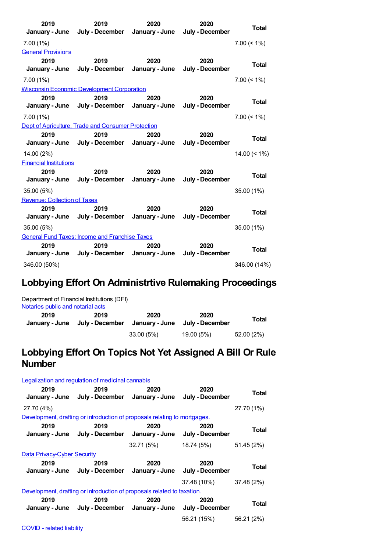| 2019<br>January - June              | 2019                                                  | 2020                   | 2020<br>July - December January - June July - December | <b>Total</b>    |
|-------------------------------------|-------------------------------------------------------|------------------------|--------------------------------------------------------|-----------------|
| $7.00(1\%)$                         |                                                       |                        |                                                        | $7.00 \le 1\%$  |
| <b>General Provisions</b>           |                                                       |                        |                                                        |                 |
| 2019<br>January - June              | 2019<br>July - December January - June                | 2020                   | 2020<br>July - December                                | <b>Total</b>    |
| 7.00(1%)                            |                                                       |                        |                                                        | $7.00 \le 1\%$  |
|                                     | <b>Wisconsin Economic Development Corporation</b>     |                        |                                                        |                 |
| 2019                                | 2019<br>January - June July - December January - June | 2020                   | 2020<br>July - December                                | <b>Total</b>    |
| $7.00(1\%)$                         |                                                       |                        |                                                        | $7.00 (< 1\%)$  |
|                                     | Dept of Agriculture, Trade and Consumer Protection    |                        |                                                        |                 |
| 2019<br>January - June              | 2019<br>July - December January - June                | 2020                   | 2020<br>July - December                                | <b>Total</b>    |
| 14.00 (2%)                          |                                                       |                        |                                                        | $14.00 \le 1\%$ |
| <b>Financial Institutions</b>       |                                                       |                        |                                                        |                 |
| 2019<br>January - June              | 2019<br>July - December                               | 2020<br>January - June | 2020<br>July - December                                | <b>Total</b>    |
| 35.00 (5%)                          |                                                       |                        |                                                        | 35.00 (1%)      |
| <b>Revenue: Collection of Taxes</b> |                                                       |                        |                                                        |                 |
| 2019<br>January - June              | 2019<br>July - December                               | 2020<br>January - June | 2020<br>July - December                                | <b>Total</b>    |
| 35.00(5%)                           |                                                       |                        |                                                        | 35.00 (1%)      |
|                                     | <b>General Fund Taxes: Income and Franchise Taxes</b> |                        |                                                        |                 |
| 2019<br>January - June              | 2019<br>July - December January - June                | 2020                   | 2020<br>July - December                                | Total           |
| 346.00 (50%)                        |                                                       |                        |                                                        | 346.00 (14%)    |

### **Lobbying Effort On Administrtive Rulemaking Proceedings**

| Notaries public and notarial acts | Department of Financial Institutions (DFI) |                        |                         |              |
|-----------------------------------|--------------------------------------------|------------------------|-------------------------|--------------|
| 2019<br>January - June            | 2019<br>July - December                    | 2020<br>January - June | 2020<br>July - December | <b>Total</b> |
|                                   |                                            | 33.00(5%)              | 19.00 (5%)              | 52.00 (2%)   |

#### **Lobbying Effort On Topics Not Yet Assigned A Bill Or Rule Number**

| Legalization and regulation of medicinal cannabis |                                                                           |            |                         |            |
|---------------------------------------------------|---------------------------------------------------------------------------|------------|-------------------------|------------|
| 2019                                              | 2019<br>January - June July - December January - June                     | 2020       | 2020<br>July - December | Total      |
| 27.70 (4%)                                        |                                                                           |            |                         | 27.70 (1%) |
|                                                   | Development, drafting or introduction of proposals relating to mortgages. |            |                         |            |
| 2019                                              | 2019<br>January - June July - December January - June                     | 2020       | 2020<br>July - December | Total      |
|                                                   |                                                                           | 32.71 (5%) | 18.74 (5%)              | 51.45 (2%) |
| <b>Data Privacy-Cyber Security</b>                |                                                                           |            |                         |            |
|                                                   |                                                                           |            |                         |            |
| 2019                                              | 2019<br>January - June July - December January - June                     | 2020       | 2020<br>July - December | Total      |
|                                                   |                                                                           |            | 37.48 (10%)             | 37.48 (2%) |
|                                                   | Development, drafting or introduction of proposals related to taxation.   |            |                         |            |
| 2019                                              | 2019<br>January - June July - December January - June July - December     | 2020       | 2020                    | Total      |